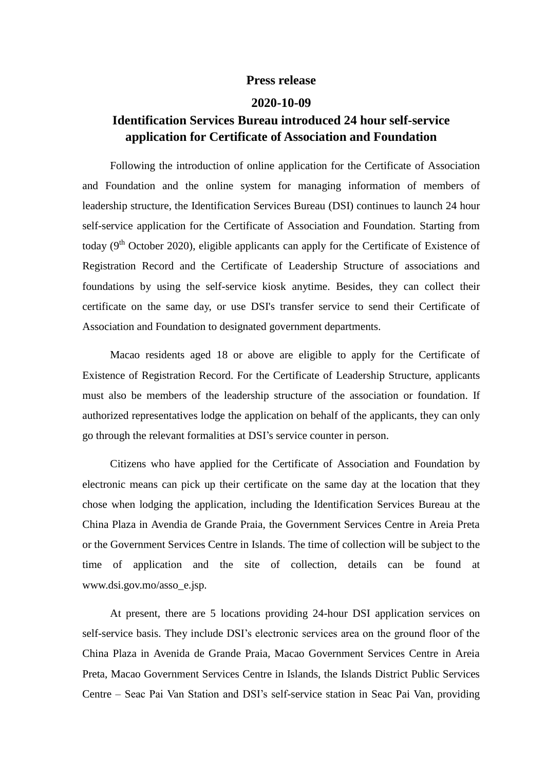## **Press release**

## **2020-10-09**

## **Identification Services Bureau introduced 24 hour self-service application for Certificate of Association and Foundation**

Following the introduction of online application for the Certificate of Association and Foundation and the online system for managing information of members of leadership structure, the Identification Services Bureau (DSI) continues to launch 24 hour self-service application for the Certificate of Association and Foundation. Starting from today  $(9<sup>th</sup> October 2020)$ , eligible applicants can apply for the Certificate of Existence of Registration Record and the Certificate of Leadership Structure of associations and foundations by using the self-service kiosk anytime. Besides, they can collect their certificate on the same day, or use DSI's transfer service to send their Certificate of Association and Foundation to designated government departments.

Macao residents aged 18 or above are eligible to apply for the Certificate of Existence of Registration Record. For the Certificate of Leadership Structure, applicants must also be members of the leadership structure of the association or foundation. If authorized representatives lodge the application on behalf of the applicants, they can only go through the relevant formalities at DSI's service counter in person.

Citizens who have applied for the Certificate of Association and Foundation by electronic means can pick up their certificate on the same day at the location that they chose when lodging the application, including the Identification Services Bureau at the China Plaza in Avendia de Grande Praia, the Government Services Centre in Areia Preta or the Government Services Centre in Islands. The time of collection will be subject to the time of application and the site of collection, details can be found at www.dsi.gov.mo/asso\_e.jsp.

At present, there are 5 locations providing 24-hour DSI application services on self-service basis. They include DSI's electronic services area on the ground floor of the China Plaza in Avenida de Grande Praia, Macao Government Services Centre in Areia Preta, Macao Government Services Centre in Islands, the Islands District Public Services Centre – Seac Pai Van Station and DSI's self-service station in Seac Pai Van, providing